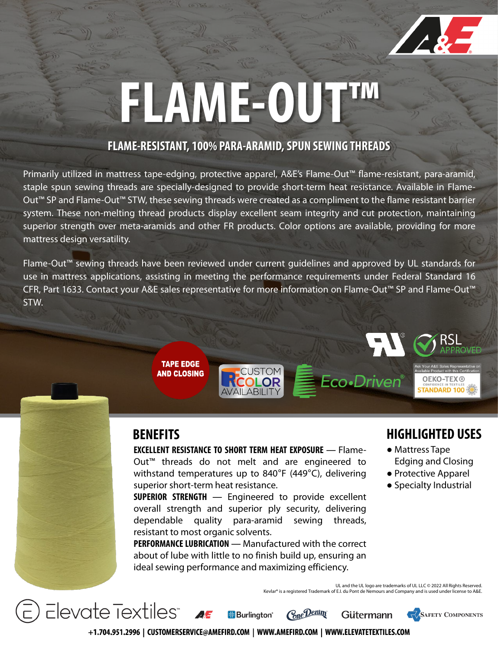

## **FLAME-OUT™**

#### **FLAME-RESISTANT, 100% PARA-ARAMID, SPUN SEWING THREADS**

Primarily utilized in mattress tape-edging, protective apparel, A&E's Flame-Out™ flame-resistant, para-aramid, staple spun sewing threads are specially-designed to provide short-term heat resistance. Available in Flame-Out™ SP and Flame-Out™ STW, these sewing threads were created as a compliment to the flame resistant barrier system. These non-melting thread products display excellent seam integrity and cut protection, maintaining superior strength over meta-aramids and other FR products. Color options are available, providing for more mattress design versatility.

Flame-Out™ sewing threads have been reviewed under current guidelines and approved by UL standards for use in mattress applications, assisting in meeting the performance requirements under Federal Standard 16 CFR, Part 1633. Contact your A&E sales representative for more information on Flame-Out™ SP and Flame-Out™ STW.



Elevate Textiles<sup>®</sup>

**TAPE EDGE** 

**AND CLOSING** 

**EXCELLENT RESISTANCE TO SHORT TERM HEAT EXPOSURE** ― Flame-Out™ threads do not melt and are engineered to withstand temperatures up to 840°F (449°C), delivering superior short-term heat resistance.

CUSTOM

**SUPERIOR STRENGTH** ― Engineered to provide excellent overall strength and superior ply security, delivering dependable quality para-aramid sewing threads, resistant to most organic solvents.

**PERFORMANCELUBRICATION** ― Manufactured with the correct about of lube with little to no finish build up, ensuring an ideal sewing performance and maximizing efficiency.

#### **HIGHLIGHTED USES**

**OEKO-TEX® STANDARD 100** 

- Mattress Tape Edging and Closing
- Protective Apparel
- Specialty Industrial

**SAFETY COMPONENTS** 

UL and the UL logo are trademarks of UL LLC © 2022 All Rights Reserved. Is a registered Trademark of E.I. du Pont de Nemours and Company and is used under license to A&E.

Gütermann

Eco-Driven®



**B**Burlinaton<sup>®</sup>

Cone Denim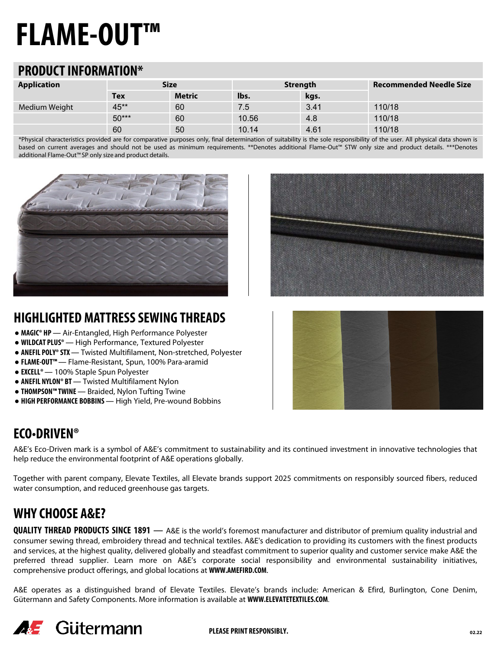### **FLAME-OUT™**

#### **PRODUCT INFORMATION\***

| <b>Application</b> | <b>Size</b> |               | <b>Strength</b> |      | <b>Recommended Needle Size</b> |
|--------------------|-------------|---------------|-----------------|------|--------------------------------|
|                    | <b>Tex</b>  | <b>Metric</b> | lbs.            | kgs. |                                |
| Medium Weight      | 45**        | 60            | 7.5             | 3.41 | 110/18                         |
|                    | $50***$     | 60            | 10.56           | 4.8  | 110/18                         |
|                    | 60          | 50            | 10.14           | 4.61 | 110/18                         |

\*Physical characteristics provided are for comparative purposes only, final determination of suitability is the sole responsibility of the user. All physical data shown is based on current averages and should not be used as minimum requirements. \*\*Denotes additional Flame-Out™ STW only size and product details. \*\*\*Denotes additional Flame-Out™ SP only size and product details.



#### **HIGHLIGHTED MATTRESS SEWING THREADS**

- **MAGIC® HP** ― Air-Entangled, High Performance Polyester
- **WILDCAT PLUS®** ― High Performance, Textured Polyester
- **ANEFIL POLY® STX** ― Twisted Multifilament, Non-stretched, Polyester
- **FLAME-OUT™** ― Flame-Resistant, Spun, 100% Para-aramid
- **EXCELL®** ― 100% Staple Spun Polyester
- **ANEFIL NYLON® BT** ― Twisted Multifilament Nylon
- **THOMPSON™ TWINE** ― Braided, Nylon Tufting Twine
- **HIGH PERFORMANCE BOBBINS** ― High Yield, Pre-wound Bobbins

#### **ECO**•**DRIVEN®**

A&E's Eco-Driven mark is a symbol of A&E's commitment to sustainability and its continued investment in innovative technologies that help reduce the environmental footprint of A&E operations globally.

Together with parent company, Elevate Textiles, all Elevate brands support 2025 commitments on responsibly sourced fibers, reduced water consumption, and reduced greenhouse gas targets.

#### **WHY CHOOSE A&E?**

**QUALITY THREAD PRODUCTS SINCE 1891** ― A&E is the world's foremost manufacturer and distributor of premium quality industrial and consumer sewing thread, embroidery thread and technical textiles. A&E's dedication to providing its customers with the finest products and services, at the highest quality, delivered globally and steadfast commitment to superior quality and customer service make A&E the preferred thread supplier. Learn more on A&E's corporate social responsibility and environmental sustainability initiatives, comprehensive product offerings, and global locations at **WWW.AMEFIRD.COM**.

A&E operates as a distinguished brand of Elevate Textiles. Elevate's brands include: American & Efird, Burlington, Cone Denim, Gütermann and Safety Components. More information is available at **WWW.ELEVATETEXTILES.COM**.



**PLEASE PRINT RESPONSIBLY. 02.22**